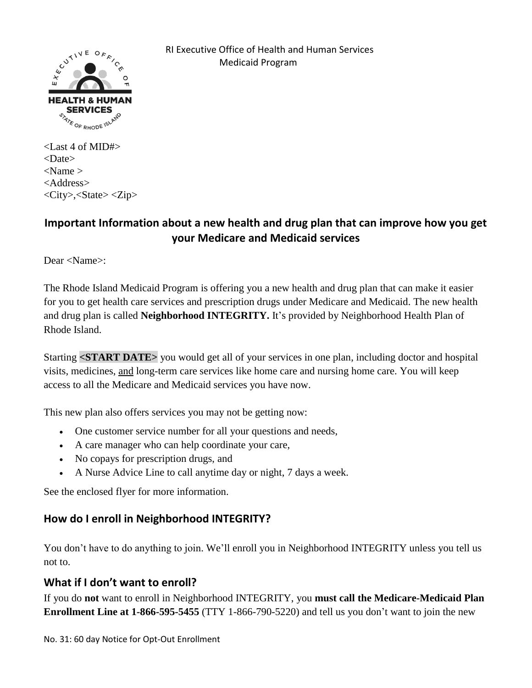

 RI Executive Office of Health and Human Services Medicaid Program

<Last 4 of MID#> <Date>  $<$ Name  $>$ <Address> <City>,<State> <Zip>

# **Important Information about a new health and drug plan that can improve how you get your Medicare and Medicaid services**

Dear <Name>:

The Rhode Island Medicaid Program is offering you a new health and drug plan that can make it easier for you to get health care services and prescription drugs under Medicare and Medicaid. The new health and drug plan is called **Neighborhood INTEGRITY.** It's provided by Neighborhood Health Plan of Rhode Island.

Starting **<START DATE>** you would get all of your services in one plan, including doctor and hospital visits, medicines, and long-term care services like home care and nursing home care. You will keep access to all the Medicare and Medicaid services you have now.

This new plan also offers services you may not be getting now:

- One customer service number for all your questions and needs,
- A care manager who can help coordinate your care,
- No copays for prescription drugs, and
- A Nurse Advice Line to call anytime day or night, 7 days a week.

See the enclosed flyer for more information.

## **How do I enroll in Neighborhood INTEGRITY?**

You don't have to do anything to join. We'll enroll you in Neighborhood INTEGRITY unless you tell us not to.

#### **What if I don't want to enroll?**

If you do **not** want to enroll in Neighborhood INTEGRITY, you **must call the Medicare-Medicaid Plan Enrollment Line at 1-866-595-5455** (TTY 1-866-790-5220) and tell us you don't want to join the new